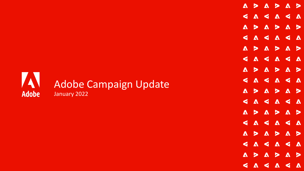## Adobe Campaign Update **Adobe** January 2022

 $\begin{array}{c} \text{A} & \text{B} & \text{A} & \text{B} \end{array}$  $\mathbf{A}$  $\triangleright$  $\mathbf{V} \leqslant \mathbf{V} \leqslant \mathbf{V}$  $\blacktriangleleft$ A > A >  $\mathbf{A}$  $\triangleright$  $\mathbf{V} \leqslant \mathbf{V} \leqslant \mathbf{V}$  $\blacktriangleleft$  $> 0.5$ A >  $\mathbf{A}$ A < A < A  $\blacktriangleleft$  $\begin{array}{c} \text{A} > \text{A} \end{array}$  $\triangleright$  $\blacktriangle$  $\mathbf{V} \leqslant \mathbf{V} \leqslant \mathbf{V}$  $\blacktriangleleft$  $> **A** > **A** >$  $\Lambda$  $\mathbf{V} \leqslant \mathbf{V} \leqslant \mathbf{V}$  $\blacktriangleleft$  $> 0 > 0$  $\mathbf{A}$ SASASA  $\Lambda$  $\Lambda$  $\triangleright$  $\Lambda$  $\mathbf{V} \leqslant \mathbf{V} \leqslant \mathbf{V}$  $\blacktriangleleft$  $\Lambda$  $\sim$  >  $\Lambda$  $\triangleright$  $\Lambda$  $\blacktriangleleft$  $\boldsymbol{\Lambda}$ ⋖  $\blacktriangleleft$  $\Lambda$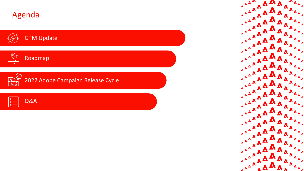





2022 Adobe Campaign Release Cycle



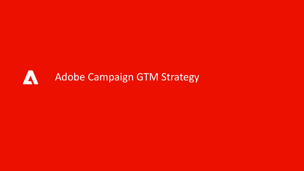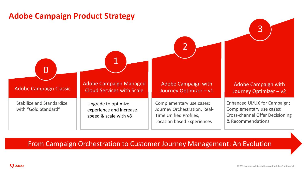



#### From Campaign Orchestration to Customer Journey Management: An Evolution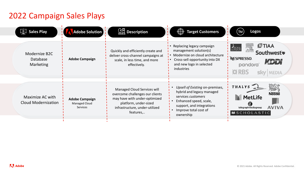# 2022 Campaign Sales Plays

| $\mathbb{R}$ Sales Play                              | <b>Adobe Solution</b>                              | $\Omega_{\rm H}^{\rm SI}$ Description                                                                                                                                   | <b>Target Customers</b>                                                                                                                                                         | Logos                                                                                                  |
|------------------------------------------------------|----------------------------------------------------|-------------------------------------------------------------------------------------------------------------------------------------------------------------------------|---------------------------------------------------------------------------------------------------------------------------------------------------------------------------------|--------------------------------------------------------------------------------------------------------|
| Modernize B2C<br><b>Database</b><br><b>Marketing</b> | <b>Adobe Campaign</b>                              | Quickly and efficiently create and<br>deliver cross-channel campaigns at<br>scale, in less time, and more<br>effectively.                                               | Replacing legacy campaign<br>management solution(s)<br>Modernize on cloud architecture<br>Cross-sell opportunity into DX<br>and new logo in selected<br>industries              | <b>OTIAA</b><br><b>ELSEVIE</b><br>Southwest<br><b>NESPRESSO.</b><br>KEEN<br>pandora<br><b>XX RBS</b>   |
| Maximize AC with<br><b>Cloud Modernization</b>       | <b>Adobe Campaign</b><br>Managed Cloud<br>Services | Managed Cloud Services will<br>overcome challenges our clients<br>may have with under-optimized<br>platform, under-sized<br>infrastructure, under-utilized<br>features, | Upsell of Existing on-premises,<br>hybrid and legacy managed<br>services customers<br>Enhanced speed, scale,<br>support, and integrations<br>Improve total cost of<br>ownership | THALYS<br><b>Nestle</b><br><b>MetLife</b><br><b>AVIVA</b><br>telegraphmediagroup<br><b>MSCHOLASTIC</b> |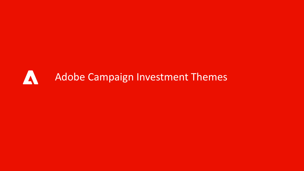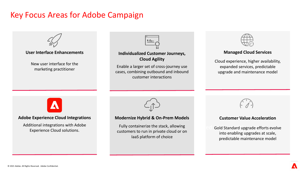## Key Focus Areas for Adobe Campaign

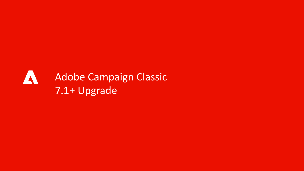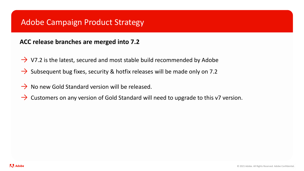### Adobe Campaign Product Strategy

#### **ACC release branches are merged into 7.2**

- $\rightarrow$  V7.2 is the latest, secured and most stable build recommended by Adobe
- $\rightarrow$  Subsequent bug fixes, security & hotfix releases will be made only on 7.2
- $\rightarrow$  No new Gold Standard version will be released.
- $\rightarrow$  Customers on any version of Gold Standard will need to upgrade to this v7 version.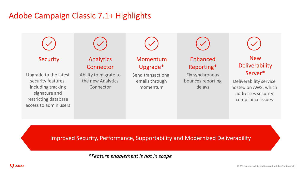## Adobe Campaign Classic 7.1+ Highlights



Improved Security, Performance, Supportability and Modernized Deliverability

*\*Feature enablement is not in scope*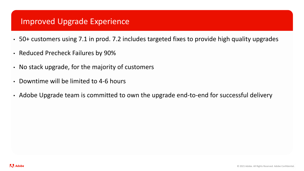### Improved Upgrade Experience

- 50+ customers using 7.1 in prod. 7.2 includes targeted fixes to provide high quality upgrades
- Reduced Precheck Failures by 90%
- No stack upgrade, for the majority of customers
- Downtime will be limited to 4-6 hours
- Adobe Upgrade team is committed to own the upgrade end-to-end for successful delivery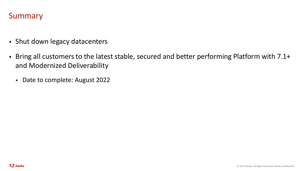### Summary

- **· Shut down legacy datacenters**
- Bring all customers to the latest stable, secured and better performing Platform with 7.1+ and Modernized Deliverability
	- Date to complete: August 2022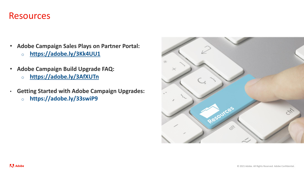### Resources

- **Adobe Campaign Sales Plays on Partner Portal:**
	- o **<https://adobe.ly/3Kk4UU1>**
- **Adobe Campaign Build Upgrade FAQ:**
	- o **<https://adobe.ly/3AfXUTn>**
- **Getting Started with Adobe Campaign Upgrades:**
	- o **https://adobe.ly/33swiP9**